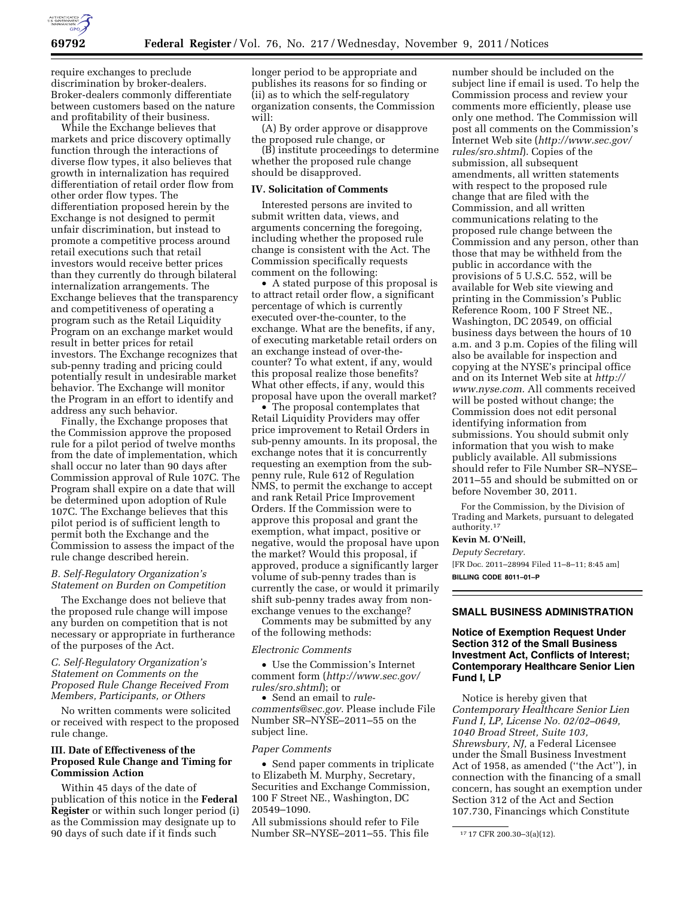

require exchanges to preclude discrimination by broker-dealers. Broker-dealers commonly differentiate between customers based on the nature and profitability of their business.

While the Exchange believes that markets and price discovery optimally function through the interactions of diverse flow types, it also believes that growth in internalization has required differentiation of retail order flow from other order flow types. The differentiation proposed herein by the Exchange is not designed to permit unfair discrimination, but instead to promote a competitive process around retail executions such that retail investors would receive better prices than they currently do through bilateral internalization arrangements. The Exchange believes that the transparency and competitiveness of operating a program such as the Retail Liquidity Program on an exchange market would result in better prices for retail investors. The Exchange recognizes that sub-penny trading and pricing could potentially result in undesirable market behavior. The Exchange will monitor the Program in an effort to identify and address any such behavior.

Finally, the Exchange proposes that the Commission approve the proposed rule for a pilot period of twelve months from the date of implementation, which shall occur no later than 90 days after Commission approval of Rule 107C. The Program shall expire on a date that will be determined upon adoption of Rule 107C. The Exchange believes that this pilot period is of sufficient length to permit both the Exchange and the Commission to assess the impact of the rule change described herein.

## *B. Self-Regulatory Organization's Statement on Burden on Competition*

The Exchange does not believe that the proposed rule change will impose any burden on competition that is not necessary or appropriate in furtherance of the purposes of the Act.

*C. Self-Regulatory Organization's Statement on Comments on the Proposed Rule Change Received From Members, Participants, or Others* 

No written comments were solicited or received with respect to the proposed rule change.

## **III. Date of Effectiveness of the Proposed Rule Change and Timing for Commission Action**

Within 45 days of the date of publication of this notice in the **Federal Register** or within such longer period (i) as the Commission may designate up to 90 days of such date if it finds such

longer period to be appropriate and publishes its reasons for so finding or (ii) as to which the self-regulatory organization consents, the Commission will:

(A) By order approve or disapprove the proposed rule change, or

(B) institute proceedings to determine whether the proposed rule change should be disapproved.

### **IV. Solicitation of Comments**

Interested persons are invited to submit written data, views, and arguments concerning the foregoing, including whether the proposed rule change is consistent with the Act. The Commission specifically requests comment on the following:

• A stated purpose of this proposal is to attract retail order flow, a significant percentage of which is currently executed over-the-counter, to the exchange. What are the benefits, if any, of executing marketable retail orders on an exchange instead of over-thecounter? To what extent, if any, would this proposal realize those benefits? What other effects, if any, would this proposal have upon the overall market?

• The proposal contemplates that Retail Liquidity Providers may offer price improvement to Retail Orders in sub-penny amounts. In its proposal, the exchange notes that it is concurrently requesting an exemption from the subpenny rule, Rule 612 of Regulation NMS, to permit the exchange to accept and rank Retail Price Improvement Orders. If the Commission were to approve this proposal and grant the exemption, what impact, positive or negative, would the proposal have upon the market? Would this proposal, if approved, produce a significantly larger volume of sub-penny trades than is currently the case, or would it primarily shift sub-penny trades away from nonexchange venues to the exchange?

Comments may be submitted by any of the following methods:

#### *Electronic Comments*

• Use the Commission's Internet comment form (*[http://www.sec.gov/](http://www.sec.gov/rules/sro.shtml)  [rules/sro.shtml](http://www.sec.gov/rules/sro.shtml)*); or

• Send an email to *[rule](mailto:rule-comments@sec.gov)[comments@sec.gov.](mailto:rule-comments@sec.gov)* Please include File Number SR–NYSE–2011–55 on the subject line.

#### *Paper Comments*

• Send paper comments in triplicate to Elizabeth M. Murphy, Secretary, Securities and Exchange Commission, 100 F Street NE., Washington, DC 20549–1090.

All submissions should refer to File Number SR–NYSE–2011–55. This file number should be included on the subject line if email is used. To help the Commission process and review your comments more efficiently, please use only one method. The Commission will post all comments on the Commission's Internet Web site (*[http://www.sec.gov/](http://www.sec.gov/rules/sro.shtml)  [rules/sro.shtml](http://www.sec.gov/rules/sro.shtml)*). Copies of the submission, all subsequent amendments, all written statements with respect to the proposed rule change that are filed with the Commission, and all written communications relating to the proposed rule change between the Commission and any person, other than those that may be withheld from the public in accordance with the provisions of 5 U.S.C. 552, will be available for Web site viewing and printing in the Commission's Public Reference Room, 100 F Street NE., Washington, DC 20549, on official business days between the hours of 10 a.m. and 3 p.m. Copies of the filing will also be available for inspection and copying at the NYSE's principal office and on its Internet Web site at *[http://](http://www.nyse.com)  [www.nyse.com.](http://www.nyse.com)* All comments received will be posted without change; the Commission does not edit personal identifying information from submissions. You should submit only information that you wish to make publicly available. All submissions should refer to File Number SR–NYSE– 2011–55 and should be submitted on or before November 30, 2011.

For the Commission, by the Division of Trading and Markets, pursuant to delegated authority.17

### **Kevin M. O'Neill,**

*Deputy Secretary.* 

[FR Doc. 2011–28994 Filed 11–8–11; 8:45 am] **BILLING CODE 8011–01–P** 

#### **SMALL BUSINESS ADMINISTRATION**

## **Notice of Exemption Request Under Section 312 of the Small Business Investment Act, Conflicts of Interest; Contemporary Healthcare Senior Lien Fund I, LP**

Notice is hereby given that *Contemporary Healthcare Senior Lien Fund I, LP, License No. 02/02–0649, 1040 Broad Street, Suite 103, Shrewsbury, NJ,* a Federal Licensee under the Small Business Investment Act of 1958, as amended (''the Act''), in connection with the financing of a small concern, has sought an exemption under Section 312 of the Act and Section 107.730, Financings which Constitute

<sup>17</sup> 17 CFR 200.30–3(a)(12).